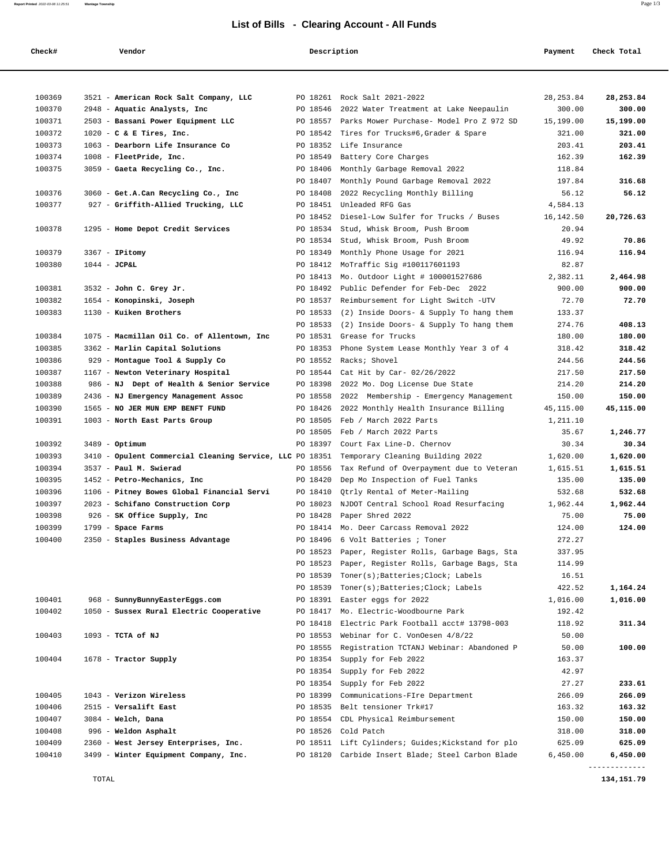## **List of Bills - Clearing Account - All Funds**

**Report Printed** 2022-03-08 11:25:51 **Wantage Township** Page 1/3

| 100369<br>3521 - American Rock Salt Company, LLC<br>PO 18261 Rock Salt 2021-2022<br>28, 253.84<br>28, 253.84<br>100370<br>2948 - Aquatic Analysts, Inc<br>PO 18546<br>2022 Water Treatment at Lake Neepaulin<br>300.00<br>300.00<br>100371<br>2503 - Bassani Power Equipment LLC<br>PO 18557 Parks Mower Purchase- Model Pro Z 972 SD<br>15,199.00<br>15,199.00<br>100372<br>$1020 - C$ & E Tires, Inc.<br>PO 18542<br>Tires for Trucks#6, Grader & Spare<br>321.00<br>321.00<br>100373<br>1063 - Dearborn Life Insurance Co<br>PO 18352 Life Insurance<br>203.41<br>203.41<br>100374<br>162.39<br>1008 - FleetPride, Inc.<br>PO 18549<br>Battery Core Charges<br>162.39<br>100375<br>3059 - Gaeta Recycling Co., Inc.<br>PO 18406<br>Monthly Garbage Removal 2022<br>118.84<br>Monthly Pound Garbage Removal 2022<br>197.84<br>316.68<br>PO 18407<br>100376<br>3060 - Get.A.Can Recycling Co., Inc<br>PO 18408<br>2022 Recycling Monthly Billing<br>56.12<br>56.12<br>100377<br>927 - Griffith-Allied Trucking, LLC<br>PO 18451 Unleaded RFG Gas<br>4,584.13<br>PO 18452<br>Diesel-Low Sulfer for Trucks / Buses<br>20,726.63<br>16,142.50<br>100378<br>1295 - Home Depot Credit Services<br>PO 18534<br>Stud, Whisk Broom, Push Broom<br>20.94<br>49.92<br>70.86<br>PO 18534<br>Stud, Whisk Broom, Push Broom<br>100379<br>116.94<br>$3367$ - IPitomy<br>PO 18349<br>Monthly Phone Usage for 2021<br>116.94<br>MoTraffic Sig #100117601193<br>100380<br>$1044 - JCPGL$<br>PO 18412<br>82.87<br>PO 18413<br>Mo. Outdoor Light # 100001527686<br>2,382.11<br>2,464.98<br>100381<br>3532 - John C. Grey Jr.<br>PO 18492<br>Public Defender for Feb-Dec 2022<br>900.00<br>900.00<br>100382<br>1654 - Konopinski, Joseph<br>Reimbursement for Light Switch -UTV<br>72.70<br>72.70<br>PO 18537<br>100383<br>1130 - Kuiken Brothers<br>PO 18533<br>(2) Inside Doors- & Supply To hang them<br>133.37<br>408.13<br>PO 18533<br>(2) Inside Doors- & Supply To hang them<br>274.76<br>100384<br>1075 - Macmillan Oil Co. of Allentown, Inc<br>PO 18531<br>Grease for Trucks<br>180.00<br>180.00<br>100385<br>3362 - Marlin Capital Solutions<br>PO 18353<br>Phone System Lease Monthly Year 3 of 4<br>318.42<br>318.42<br>100386<br>929 - Montague Tool & Supply Co<br>PO 18552<br>Racks; Shovel<br>244.56<br>244.56<br>217.50<br>100387<br>1167 - Newton Veterinary Hospital<br>PO 18544<br>Cat Hit by Car- 02/26/2022<br>217.50<br>100388<br>214.20<br>986 - NJ Dept of Health & Senior Service<br>PO 18398<br>2022 Mo. Dog License Due State<br>214.20<br>100389<br>2436 - NJ Emergency Management Assoc<br>PO 18558<br>2022 Membership - Emergency Management<br>150.00<br>150.00<br>100390<br>1565 - NO JER MUN EMP BENFT FUND<br>PO 18426<br>2022 Monthly Health Insurance Billing<br>45,115.00<br>45,115.00<br>100391<br>PO 18505<br>Feb / March 2022 Parts<br>1003 - North East Parts Group<br>1,211.10<br>PO 18505 Feb / March 2022 Parts<br>35.67<br>1,246.77<br>100392<br>30.34<br>PO 18397<br>Court Fax Line-D. Chernov<br>30.34<br>$3489 -$ Optimum<br>100393<br>3410 - Opulent Commercial Cleaning Service, LLC PO 18351<br>Temporary Cleaning Building 2022<br>1,620.00<br>1,620.00<br>100394<br>3537 - Paul M. Swierad<br>PO 18556<br>Tax Refund of Overpayment due to Veteran<br>1,615.51<br>1,615.51<br>100395<br>1452 - Petro-Mechanics, Inc<br>PO 18420<br>Dep Mo Inspection of Fuel Tanks<br>135.00<br>135.00<br>100396<br>1106 - Pitney Bowes Global Financial Servi<br>PO 18410<br>Qtrly Rental of Meter-Mailing<br>532.68<br>532.68<br>100397<br>2023 - Schifano Construction Corp<br>PO 18023<br>NJDOT Central School Road Resurfacing<br>1,962.44<br>1,962.44<br>100398<br>75.00<br>75.00<br>926 - SK Office Supply, Inc<br>PO 18428<br>Paper Shred 2022<br>124.00<br>100399<br>$1799$ - Space Farms<br>PO 18414 Mo. Deer Carcass Removal 2022<br>124.00<br>100400<br>2350 - Staples Business Advantage<br>6 Volt Batteries ; Toner<br>272.27<br>PO 18496<br>PO 18523<br>Paper, Register Rolls, Garbage Bags, Sta<br>337.95<br>PO 18523<br>Paper, Register Rolls, Garbage Bags, Sta<br>114.99<br>PO 18539<br>Toner(s); Batteries; Clock; Labels<br>16.51<br>PO 18539<br>Toner(s); Batteries; Clock; Labels<br>422.52<br>1,164.24<br>100401<br>968 - SunnyBunnyEasterEggs.com<br>PO 18391 Easter eggs for 2022<br>1,016.00<br>1,016.00<br>100402<br>1050 - Sussex Rural Electric Cooperative<br>PO 18417 Mo. Electric-Woodbourne Park<br>192.42<br>PO 18418<br>Electric Park Football acct# 13798-003<br>118.92<br>311.34<br>PO 18553<br>Webinar for C. VonOesen 4/8/22<br>50.00<br>100403<br>1093 - TCTA of NJ<br>PO 18555<br>Registration TCTANJ Webinar: Abandoned P<br>50.00<br>100.00<br>100404<br>1678 - Tractor Supply<br>PO 18354<br>Supply for Feb 2022<br>163.37<br>PO 18354<br>Supply for Feb 2022<br>42.97<br>PO 18354<br>27.27<br>Supply for Feb 2022<br>233.61<br>100405<br>1043 - Verizon Wireless<br>PO 18399<br>Communications-FIre Department<br>266.09<br>266.09<br>100406<br>2515 - Versalift East<br>PO 18535 Belt tensioner Trk#17<br>163.32<br>163.32<br>150.00<br>100407<br>$3084$ - Welch, Dana<br>PO 18554<br>CDL Physical Reimbursement<br>150.00<br>100408<br>996 - Weldon Asphalt<br>PO 18526 Cold Patch<br>318.00<br>318.00<br>PO 18511 Lift Cylinders; Guides; Kickstand for plo<br>625.09<br>625.09<br>100409<br>2360 - West Jersey Enterprises, Inc.<br>100410<br>3499 - Winter Equipment Company, Inc.<br>PO 18120 Carbide Insert Blade; Steel Carbon Blade<br>6,450.00<br>6,450.00 | Check# | Vendor | Description | Payment | Check Total |
|----------------------------------------------------------------------------------------------------------------------------------------------------------------------------------------------------------------------------------------------------------------------------------------------------------------------------------------------------------------------------------------------------------------------------------------------------------------------------------------------------------------------------------------------------------------------------------------------------------------------------------------------------------------------------------------------------------------------------------------------------------------------------------------------------------------------------------------------------------------------------------------------------------------------------------------------------------------------------------------------------------------------------------------------------------------------------------------------------------------------------------------------------------------------------------------------------------------------------------------------------------------------------------------------------------------------------------------------------------------------------------------------------------------------------------------------------------------------------------------------------------------------------------------------------------------------------------------------------------------------------------------------------------------------------------------------------------------------------------------------------------------------------------------------------------------------------------------------------------------------------------------------------------------------------------------------------------------------------------------------------------------------------------------------------------------------------------------------------------------------------------------------------------------------------------------------------------------------------------------------------------------------------------------------------------------------------------------------------------------------------------------------------------------------------------------------------------------------------------------------------------------------------------------------------------------------------------------------------------------------------------------------------------------------------------------------------------------------------------------------------------------------------------------------------------------------------------------------------------------------------------------------------------------------------------------------------------------------------------------------------------------------------------------------------------------------------------------------------------------------------------------------------------------------------------------------------------------------------------------------------------------------------------------------------------------------------------------------------------------------------------------------------------------------------------------------------------------------------------------------------------------------------------------------------------------------------------------------------------------------------------------------------------------------------------------------------------------------------------------------------------------------------------------------------------------------------------------------------------------------------------------------------------------------------------------------------------------------------------------------------------------------------------------------------------------------------------------------------------------------------------------------------------------------------------------------------------------------------------------------------------------------------------------------------------------------------------------------------------------------------------------------------------------------------------------------------------------------------------------------------------------------------------------------------------------------------------------------------------------------------------------------------------------------------------------------------------------------------------------------------------------------------------------------------------------------------------------------------------------------------------------------------------------------------------------------------------------------------------------------------------------------------------------------------------------------------------------------------------------------------------------------------------------------------------------------------------------------------------------------------------------------------------------------------------------------------------------------------------------------------------------------------------------------------------------------------------------------------------------------------------------------------------------|--------|--------|-------------|---------|-------------|
|                                                                                                                                                                                                                                                                                                                                                                                                                                                                                                                                                                                                                                                                                                                                                                                                                                                                                                                                                                                                                                                                                                                                                                                                                                                                                                                                                                                                                                                                                                                                                                                                                                                                                                                                                                                                                                                                                                                                                                                                                                                                                                                                                                                                                                                                                                                                                                                                                                                                                                                                                                                                                                                                                                                                                                                                                                                                                                                                                                                                                                                                                                                                                                                                                                                                                                                                                                                                                                                                                                                                                                                                                                                                                                                                                                                                                                                                                                                                                                                                                                                                                                                                                                                                                                                                                                                                                                                                                                                                                                                                                                                                                                                                                                                                                                                                                                                                                                                                                                                                                                                                                                                                                                                                                                                                                                                                                                                                                                                                                                                                        |        |        |             |         |             |
|                                                                                                                                                                                                                                                                                                                                                                                                                                                                                                                                                                                                                                                                                                                                                                                                                                                                                                                                                                                                                                                                                                                                                                                                                                                                                                                                                                                                                                                                                                                                                                                                                                                                                                                                                                                                                                                                                                                                                                                                                                                                                                                                                                                                                                                                                                                                                                                                                                                                                                                                                                                                                                                                                                                                                                                                                                                                                                                                                                                                                                                                                                                                                                                                                                                                                                                                                                                                                                                                                                                                                                                                                                                                                                                                                                                                                                                                                                                                                                                                                                                                                                                                                                                                                                                                                                                                                                                                                                                                                                                                                                                                                                                                                                                                                                                                                                                                                                                                                                                                                                                                                                                                                                                                                                                                                                                                                                                                                                                                                                                                        |        |        |             |         |             |
|                                                                                                                                                                                                                                                                                                                                                                                                                                                                                                                                                                                                                                                                                                                                                                                                                                                                                                                                                                                                                                                                                                                                                                                                                                                                                                                                                                                                                                                                                                                                                                                                                                                                                                                                                                                                                                                                                                                                                                                                                                                                                                                                                                                                                                                                                                                                                                                                                                                                                                                                                                                                                                                                                                                                                                                                                                                                                                                                                                                                                                                                                                                                                                                                                                                                                                                                                                                                                                                                                                                                                                                                                                                                                                                                                                                                                                                                                                                                                                                                                                                                                                                                                                                                                                                                                                                                                                                                                                                                                                                                                                                                                                                                                                                                                                                                                                                                                                                                                                                                                                                                                                                                                                                                                                                                                                                                                                                                                                                                                                                                        |        |        |             |         |             |
|                                                                                                                                                                                                                                                                                                                                                                                                                                                                                                                                                                                                                                                                                                                                                                                                                                                                                                                                                                                                                                                                                                                                                                                                                                                                                                                                                                                                                                                                                                                                                                                                                                                                                                                                                                                                                                                                                                                                                                                                                                                                                                                                                                                                                                                                                                                                                                                                                                                                                                                                                                                                                                                                                                                                                                                                                                                                                                                                                                                                                                                                                                                                                                                                                                                                                                                                                                                                                                                                                                                                                                                                                                                                                                                                                                                                                                                                                                                                                                                                                                                                                                                                                                                                                                                                                                                                                                                                                                                                                                                                                                                                                                                                                                                                                                                                                                                                                                                                                                                                                                                                                                                                                                                                                                                                                                                                                                                                                                                                                                                                        |        |        |             |         |             |
|                                                                                                                                                                                                                                                                                                                                                                                                                                                                                                                                                                                                                                                                                                                                                                                                                                                                                                                                                                                                                                                                                                                                                                                                                                                                                                                                                                                                                                                                                                                                                                                                                                                                                                                                                                                                                                                                                                                                                                                                                                                                                                                                                                                                                                                                                                                                                                                                                                                                                                                                                                                                                                                                                                                                                                                                                                                                                                                                                                                                                                                                                                                                                                                                                                                                                                                                                                                                                                                                                                                                                                                                                                                                                                                                                                                                                                                                                                                                                                                                                                                                                                                                                                                                                                                                                                                                                                                                                                                                                                                                                                                                                                                                                                                                                                                                                                                                                                                                                                                                                                                                                                                                                                                                                                                                                                                                                                                                                                                                                                                                        |        |        |             |         |             |
|                                                                                                                                                                                                                                                                                                                                                                                                                                                                                                                                                                                                                                                                                                                                                                                                                                                                                                                                                                                                                                                                                                                                                                                                                                                                                                                                                                                                                                                                                                                                                                                                                                                                                                                                                                                                                                                                                                                                                                                                                                                                                                                                                                                                                                                                                                                                                                                                                                                                                                                                                                                                                                                                                                                                                                                                                                                                                                                                                                                                                                                                                                                                                                                                                                                                                                                                                                                                                                                                                                                                                                                                                                                                                                                                                                                                                                                                                                                                                                                                                                                                                                                                                                                                                                                                                                                                                                                                                                                                                                                                                                                                                                                                                                                                                                                                                                                                                                                                                                                                                                                                                                                                                                                                                                                                                                                                                                                                                                                                                                                                        |        |        |             |         |             |
|                                                                                                                                                                                                                                                                                                                                                                                                                                                                                                                                                                                                                                                                                                                                                                                                                                                                                                                                                                                                                                                                                                                                                                                                                                                                                                                                                                                                                                                                                                                                                                                                                                                                                                                                                                                                                                                                                                                                                                                                                                                                                                                                                                                                                                                                                                                                                                                                                                                                                                                                                                                                                                                                                                                                                                                                                                                                                                                                                                                                                                                                                                                                                                                                                                                                                                                                                                                                                                                                                                                                                                                                                                                                                                                                                                                                                                                                                                                                                                                                                                                                                                                                                                                                                                                                                                                                                                                                                                                                                                                                                                                                                                                                                                                                                                                                                                                                                                                                                                                                                                                                                                                                                                                                                                                                                                                                                                                                                                                                                                                                        |        |        |             |         |             |
|                                                                                                                                                                                                                                                                                                                                                                                                                                                                                                                                                                                                                                                                                                                                                                                                                                                                                                                                                                                                                                                                                                                                                                                                                                                                                                                                                                                                                                                                                                                                                                                                                                                                                                                                                                                                                                                                                                                                                                                                                                                                                                                                                                                                                                                                                                                                                                                                                                                                                                                                                                                                                                                                                                                                                                                                                                                                                                                                                                                                                                                                                                                                                                                                                                                                                                                                                                                                                                                                                                                                                                                                                                                                                                                                                                                                                                                                                                                                                                                                                                                                                                                                                                                                                                                                                                                                                                                                                                                                                                                                                                                                                                                                                                                                                                                                                                                                                                                                                                                                                                                                                                                                                                                                                                                                                                                                                                                                                                                                                                                                        |        |        |             |         |             |
|                                                                                                                                                                                                                                                                                                                                                                                                                                                                                                                                                                                                                                                                                                                                                                                                                                                                                                                                                                                                                                                                                                                                                                                                                                                                                                                                                                                                                                                                                                                                                                                                                                                                                                                                                                                                                                                                                                                                                                                                                                                                                                                                                                                                                                                                                                                                                                                                                                                                                                                                                                                                                                                                                                                                                                                                                                                                                                                                                                                                                                                                                                                                                                                                                                                                                                                                                                                                                                                                                                                                                                                                                                                                                                                                                                                                                                                                                                                                                                                                                                                                                                                                                                                                                                                                                                                                                                                                                                                                                                                                                                                                                                                                                                                                                                                                                                                                                                                                                                                                                                                                                                                                                                                                                                                                                                                                                                                                                                                                                                                                        |        |        |             |         |             |
|                                                                                                                                                                                                                                                                                                                                                                                                                                                                                                                                                                                                                                                                                                                                                                                                                                                                                                                                                                                                                                                                                                                                                                                                                                                                                                                                                                                                                                                                                                                                                                                                                                                                                                                                                                                                                                                                                                                                                                                                                                                                                                                                                                                                                                                                                                                                                                                                                                                                                                                                                                                                                                                                                                                                                                                                                                                                                                                                                                                                                                                                                                                                                                                                                                                                                                                                                                                                                                                                                                                                                                                                                                                                                                                                                                                                                                                                                                                                                                                                                                                                                                                                                                                                                                                                                                                                                                                                                                                                                                                                                                                                                                                                                                                                                                                                                                                                                                                                                                                                                                                                                                                                                                                                                                                                                                                                                                                                                                                                                                                                        |        |        |             |         |             |
|                                                                                                                                                                                                                                                                                                                                                                                                                                                                                                                                                                                                                                                                                                                                                                                                                                                                                                                                                                                                                                                                                                                                                                                                                                                                                                                                                                                                                                                                                                                                                                                                                                                                                                                                                                                                                                                                                                                                                                                                                                                                                                                                                                                                                                                                                                                                                                                                                                                                                                                                                                                                                                                                                                                                                                                                                                                                                                                                                                                                                                                                                                                                                                                                                                                                                                                                                                                                                                                                                                                                                                                                                                                                                                                                                                                                                                                                                                                                                                                                                                                                                                                                                                                                                                                                                                                                                                                                                                                                                                                                                                                                                                                                                                                                                                                                                                                                                                                                                                                                                                                                                                                                                                                                                                                                                                                                                                                                                                                                                                                                        |        |        |             |         |             |
|                                                                                                                                                                                                                                                                                                                                                                                                                                                                                                                                                                                                                                                                                                                                                                                                                                                                                                                                                                                                                                                                                                                                                                                                                                                                                                                                                                                                                                                                                                                                                                                                                                                                                                                                                                                                                                                                                                                                                                                                                                                                                                                                                                                                                                                                                                                                                                                                                                                                                                                                                                                                                                                                                                                                                                                                                                                                                                                                                                                                                                                                                                                                                                                                                                                                                                                                                                                                                                                                                                                                                                                                                                                                                                                                                                                                                                                                                                                                                                                                                                                                                                                                                                                                                                                                                                                                                                                                                                                                                                                                                                                                                                                                                                                                                                                                                                                                                                                                                                                                                                                                                                                                                                                                                                                                                                                                                                                                                                                                                                                                        |        |        |             |         |             |
|                                                                                                                                                                                                                                                                                                                                                                                                                                                                                                                                                                                                                                                                                                                                                                                                                                                                                                                                                                                                                                                                                                                                                                                                                                                                                                                                                                                                                                                                                                                                                                                                                                                                                                                                                                                                                                                                                                                                                                                                                                                                                                                                                                                                                                                                                                                                                                                                                                                                                                                                                                                                                                                                                                                                                                                                                                                                                                                                                                                                                                                                                                                                                                                                                                                                                                                                                                                                                                                                                                                                                                                                                                                                                                                                                                                                                                                                                                                                                                                                                                                                                                                                                                                                                                                                                                                                                                                                                                                                                                                                                                                                                                                                                                                                                                                                                                                                                                                                                                                                                                                                                                                                                                                                                                                                                                                                                                                                                                                                                                                                        |        |        |             |         |             |
|                                                                                                                                                                                                                                                                                                                                                                                                                                                                                                                                                                                                                                                                                                                                                                                                                                                                                                                                                                                                                                                                                                                                                                                                                                                                                                                                                                                                                                                                                                                                                                                                                                                                                                                                                                                                                                                                                                                                                                                                                                                                                                                                                                                                                                                                                                                                                                                                                                                                                                                                                                                                                                                                                                                                                                                                                                                                                                                                                                                                                                                                                                                                                                                                                                                                                                                                                                                                                                                                                                                                                                                                                                                                                                                                                                                                                                                                                                                                                                                                                                                                                                                                                                                                                                                                                                                                                                                                                                                                                                                                                                                                                                                                                                                                                                                                                                                                                                                                                                                                                                                                                                                                                                                                                                                                                                                                                                                                                                                                                                                                        |        |        |             |         |             |
|                                                                                                                                                                                                                                                                                                                                                                                                                                                                                                                                                                                                                                                                                                                                                                                                                                                                                                                                                                                                                                                                                                                                                                                                                                                                                                                                                                                                                                                                                                                                                                                                                                                                                                                                                                                                                                                                                                                                                                                                                                                                                                                                                                                                                                                                                                                                                                                                                                                                                                                                                                                                                                                                                                                                                                                                                                                                                                                                                                                                                                                                                                                                                                                                                                                                                                                                                                                                                                                                                                                                                                                                                                                                                                                                                                                                                                                                                                                                                                                                                                                                                                                                                                                                                                                                                                                                                                                                                                                                                                                                                                                                                                                                                                                                                                                                                                                                                                                                                                                                                                                                                                                                                                                                                                                                                                                                                                                                                                                                                                                                        |        |        |             |         |             |
|                                                                                                                                                                                                                                                                                                                                                                                                                                                                                                                                                                                                                                                                                                                                                                                                                                                                                                                                                                                                                                                                                                                                                                                                                                                                                                                                                                                                                                                                                                                                                                                                                                                                                                                                                                                                                                                                                                                                                                                                                                                                                                                                                                                                                                                                                                                                                                                                                                                                                                                                                                                                                                                                                                                                                                                                                                                                                                                                                                                                                                                                                                                                                                                                                                                                                                                                                                                                                                                                                                                                                                                                                                                                                                                                                                                                                                                                                                                                                                                                                                                                                                                                                                                                                                                                                                                                                                                                                                                                                                                                                                                                                                                                                                                                                                                                                                                                                                                                                                                                                                                                                                                                                                                                                                                                                                                                                                                                                                                                                                                                        |        |        |             |         |             |
|                                                                                                                                                                                                                                                                                                                                                                                                                                                                                                                                                                                                                                                                                                                                                                                                                                                                                                                                                                                                                                                                                                                                                                                                                                                                                                                                                                                                                                                                                                                                                                                                                                                                                                                                                                                                                                                                                                                                                                                                                                                                                                                                                                                                                                                                                                                                                                                                                                                                                                                                                                                                                                                                                                                                                                                                                                                                                                                                                                                                                                                                                                                                                                                                                                                                                                                                                                                                                                                                                                                                                                                                                                                                                                                                                                                                                                                                                                                                                                                                                                                                                                                                                                                                                                                                                                                                                                                                                                                                                                                                                                                                                                                                                                                                                                                                                                                                                                                                                                                                                                                                                                                                                                                                                                                                                                                                                                                                                                                                                                                                        |        |        |             |         |             |
|                                                                                                                                                                                                                                                                                                                                                                                                                                                                                                                                                                                                                                                                                                                                                                                                                                                                                                                                                                                                                                                                                                                                                                                                                                                                                                                                                                                                                                                                                                                                                                                                                                                                                                                                                                                                                                                                                                                                                                                                                                                                                                                                                                                                                                                                                                                                                                                                                                                                                                                                                                                                                                                                                                                                                                                                                                                                                                                                                                                                                                                                                                                                                                                                                                                                                                                                                                                                                                                                                                                                                                                                                                                                                                                                                                                                                                                                                                                                                                                                                                                                                                                                                                                                                                                                                                                                                                                                                                                                                                                                                                                                                                                                                                                                                                                                                                                                                                                                                                                                                                                                                                                                                                                                                                                                                                                                                                                                                                                                                                                                        |        |        |             |         |             |
|                                                                                                                                                                                                                                                                                                                                                                                                                                                                                                                                                                                                                                                                                                                                                                                                                                                                                                                                                                                                                                                                                                                                                                                                                                                                                                                                                                                                                                                                                                                                                                                                                                                                                                                                                                                                                                                                                                                                                                                                                                                                                                                                                                                                                                                                                                                                                                                                                                                                                                                                                                                                                                                                                                                                                                                                                                                                                                                                                                                                                                                                                                                                                                                                                                                                                                                                                                                                                                                                                                                                                                                                                                                                                                                                                                                                                                                                                                                                                                                                                                                                                                                                                                                                                                                                                                                                                                                                                                                                                                                                                                                                                                                                                                                                                                                                                                                                                                                                                                                                                                                                                                                                                                                                                                                                                                                                                                                                                                                                                                                                        |        |        |             |         |             |
|                                                                                                                                                                                                                                                                                                                                                                                                                                                                                                                                                                                                                                                                                                                                                                                                                                                                                                                                                                                                                                                                                                                                                                                                                                                                                                                                                                                                                                                                                                                                                                                                                                                                                                                                                                                                                                                                                                                                                                                                                                                                                                                                                                                                                                                                                                                                                                                                                                                                                                                                                                                                                                                                                                                                                                                                                                                                                                                                                                                                                                                                                                                                                                                                                                                                                                                                                                                                                                                                                                                                                                                                                                                                                                                                                                                                                                                                                                                                                                                                                                                                                                                                                                                                                                                                                                                                                                                                                                                                                                                                                                                                                                                                                                                                                                                                                                                                                                                                                                                                                                                                                                                                                                                                                                                                                                                                                                                                                                                                                                                                        |        |        |             |         |             |
|                                                                                                                                                                                                                                                                                                                                                                                                                                                                                                                                                                                                                                                                                                                                                                                                                                                                                                                                                                                                                                                                                                                                                                                                                                                                                                                                                                                                                                                                                                                                                                                                                                                                                                                                                                                                                                                                                                                                                                                                                                                                                                                                                                                                                                                                                                                                                                                                                                                                                                                                                                                                                                                                                                                                                                                                                                                                                                                                                                                                                                                                                                                                                                                                                                                                                                                                                                                                                                                                                                                                                                                                                                                                                                                                                                                                                                                                                                                                                                                                                                                                                                                                                                                                                                                                                                                                                                                                                                                                                                                                                                                                                                                                                                                                                                                                                                                                                                                                                                                                                                                                                                                                                                                                                                                                                                                                                                                                                                                                                                                                        |        |        |             |         |             |
|                                                                                                                                                                                                                                                                                                                                                                                                                                                                                                                                                                                                                                                                                                                                                                                                                                                                                                                                                                                                                                                                                                                                                                                                                                                                                                                                                                                                                                                                                                                                                                                                                                                                                                                                                                                                                                                                                                                                                                                                                                                                                                                                                                                                                                                                                                                                                                                                                                                                                                                                                                                                                                                                                                                                                                                                                                                                                                                                                                                                                                                                                                                                                                                                                                                                                                                                                                                                                                                                                                                                                                                                                                                                                                                                                                                                                                                                                                                                                                                                                                                                                                                                                                                                                                                                                                                                                                                                                                                                                                                                                                                                                                                                                                                                                                                                                                                                                                                                                                                                                                                                                                                                                                                                                                                                                                                                                                                                                                                                                                                                        |        |        |             |         |             |
|                                                                                                                                                                                                                                                                                                                                                                                                                                                                                                                                                                                                                                                                                                                                                                                                                                                                                                                                                                                                                                                                                                                                                                                                                                                                                                                                                                                                                                                                                                                                                                                                                                                                                                                                                                                                                                                                                                                                                                                                                                                                                                                                                                                                                                                                                                                                                                                                                                                                                                                                                                                                                                                                                                                                                                                                                                                                                                                                                                                                                                                                                                                                                                                                                                                                                                                                                                                                                                                                                                                                                                                                                                                                                                                                                                                                                                                                                                                                                                                                                                                                                                                                                                                                                                                                                                                                                                                                                                                                                                                                                                                                                                                                                                                                                                                                                                                                                                                                                                                                                                                                                                                                                                                                                                                                                                                                                                                                                                                                                                                                        |        |        |             |         |             |
|                                                                                                                                                                                                                                                                                                                                                                                                                                                                                                                                                                                                                                                                                                                                                                                                                                                                                                                                                                                                                                                                                                                                                                                                                                                                                                                                                                                                                                                                                                                                                                                                                                                                                                                                                                                                                                                                                                                                                                                                                                                                                                                                                                                                                                                                                                                                                                                                                                                                                                                                                                                                                                                                                                                                                                                                                                                                                                                                                                                                                                                                                                                                                                                                                                                                                                                                                                                                                                                                                                                                                                                                                                                                                                                                                                                                                                                                                                                                                                                                                                                                                                                                                                                                                                                                                                                                                                                                                                                                                                                                                                                                                                                                                                                                                                                                                                                                                                                                                                                                                                                                                                                                                                                                                                                                                                                                                                                                                                                                                                                                        |        |        |             |         |             |
|                                                                                                                                                                                                                                                                                                                                                                                                                                                                                                                                                                                                                                                                                                                                                                                                                                                                                                                                                                                                                                                                                                                                                                                                                                                                                                                                                                                                                                                                                                                                                                                                                                                                                                                                                                                                                                                                                                                                                                                                                                                                                                                                                                                                                                                                                                                                                                                                                                                                                                                                                                                                                                                                                                                                                                                                                                                                                                                                                                                                                                                                                                                                                                                                                                                                                                                                                                                                                                                                                                                                                                                                                                                                                                                                                                                                                                                                                                                                                                                                                                                                                                                                                                                                                                                                                                                                                                                                                                                                                                                                                                                                                                                                                                                                                                                                                                                                                                                                                                                                                                                                                                                                                                                                                                                                                                                                                                                                                                                                                                                                        |        |        |             |         |             |
|                                                                                                                                                                                                                                                                                                                                                                                                                                                                                                                                                                                                                                                                                                                                                                                                                                                                                                                                                                                                                                                                                                                                                                                                                                                                                                                                                                                                                                                                                                                                                                                                                                                                                                                                                                                                                                                                                                                                                                                                                                                                                                                                                                                                                                                                                                                                                                                                                                                                                                                                                                                                                                                                                                                                                                                                                                                                                                                                                                                                                                                                                                                                                                                                                                                                                                                                                                                                                                                                                                                                                                                                                                                                                                                                                                                                                                                                                                                                                                                                                                                                                                                                                                                                                                                                                                                                                                                                                                                                                                                                                                                                                                                                                                                                                                                                                                                                                                                                                                                                                                                                                                                                                                                                                                                                                                                                                                                                                                                                                                                                        |        |        |             |         |             |
|                                                                                                                                                                                                                                                                                                                                                                                                                                                                                                                                                                                                                                                                                                                                                                                                                                                                                                                                                                                                                                                                                                                                                                                                                                                                                                                                                                                                                                                                                                                                                                                                                                                                                                                                                                                                                                                                                                                                                                                                                                                                                                                                                                                                                                                                                                                                                                                                                                                                                                                                                                                                                                                                                                                                                                                                                                                                                                                                                                                                                                                                                                                                                                                                                                                                                                                                                                                                                                                                                                                                                                                                                                                                                                                                                                                                                                                                                                                                                                                                                                                                                                                                                                                                                                                                                                                                                                                                                                                                                                                                                                                                                                                                                                                                                                                                                                                                                                                                                                                                                                                                                                                                                                                                                                                                                                                                                                                                                                                                                                                                        |        |        |             |         |             |
|                                                                                                                                                                                                                                                                                                                                                                                                                                                                                                                                                                                                                                                                                                                                                                                                                                                                                                                                                                                                                                                                                                                                                                                                                                                                                                                                                                                                                                                                                                                                                                                                                                                                                                                                                                                                                                                                                                                                                                                                                                                                                                                                                                                                                                                                                                                                                                                                                                                                                                                                                                                                                                                                                                                                                                                                                                                                                                                                                                                                                                                                                                                                                                                                                                                                                                                                                                                                                                                                                                                                                                                                                                                                                                                                                                                                                                                                                                                                                                                                                                                                                                                                                                                                                                                                                                                                                                                                                                                                                                                                                                                                                                                                                                                                                                                                                                                                                                                                                                                                                                                                                                                                                                                                                                                                                                                                                                                                                                                                                                                                        |        |        |             |         |             |
|                                                                                                                                                                                                                                                                                                                                                                                                                                                                                                                                                                                                                                                                                                                                                                                                                                                                                                                                                                                                                                                                                                                                                                                                                                                                                                                                                                                                                                                                                                                                                                                                                                                                                                                                                                                                                                                                                                                                                                                                                                                                                                                                                                                                                                                                                                                                                                                                                                                                                                                                                                                                                                                                                                                                                                                                                                                                                                                                                                                                                                                                                                                                                                                                                                                                                                                                                                                                                                                                                                                                                                                                                                                                                                                                                                                                                                                                                                                                                                                                                                                                                                                                                                                                                                                                                                                                                                                                                                                                                                                                                                                                                                                                                                                                                                                                                                                                                                                                                                                                                                                                                                                                                                                                                                                                                                                                                                                                                                                                                                                                        |        |        |             |         |             |
|                                                                                                                                                                                                                                                                                                                                                                                                                                                                                                                                                                                                                                                                                                                                                                                                                                                                                                                                                                                                                                                                                                                                                                                                                                                                                                                                                                                                                                                                                                                                                                                                                                                                                                                                                                                                                                                                                                                                                                                                                                                                                                                                                                                                                                                                                                                                                                                                                                                                                                                                                                                                                                                                                                                                                                                                                                                                                                                                                                                                                                                                                                                                                                                                                                                                                                                                                                                                                                                                                                                                                                                                                                                                                                                                                                                                                                                                                                                                                                                                                                                                                                                                                                                                                                                                                                                                                                                                                                                                                                                                                                                                                                                                                                                                                                                                                                                                                                                                                                                                                                                                                                                                                                                                                                                                                                                                                                                                                                                                                                                                        |        |        |             |         |             |
|                                                                                                                                                                                                                                                                                                                                                                                                                                                                                                                                                                                                                                                                                                                                                                                                                                                                                                                                                                                                                                                                                                                                                                                                                                                                                                                                                                                                                                                                                                                                                                                                                                                                                                                                                                                                                                                                                                                                                                                                                                                                                                                                                                                                                                                                                                                                                                                                                                                                                                                                                                                                                                                                                                                                                                                                                                                                                                                                                                                                                                                                                                                                                                                                                                                                                                                                                                                                                                                                                                                                                                                                                                                                                                                                                                                                                                                                                                                                                                                                                                                                                                                                                                                                                                                                                                                                                                                                                                                                                                                                                                                                                                                                                                                                                                                                                                                                                                                                                                                                                                                                                                                                                                                                                                                                                                                                                                                                                                                                                                                                        |        |        |             |         |             |
|                                                                                                                                                                                                                                                                                                                                                                                                                                                                                                                                                                                                                                                                                                                                                                                                                                                                                                                                                                                                                                                                                                                                                                                                                                                                                                                                                                                                                                                                                                                                                                                                                                                                                                                                                                                                                                                                                                                                                                                                                                                                                                                                                                                                                                                                                                                                                                                                                                                                                                                                                                                                                                                                                                                                                                                                                                                                                                                                                                                                                                                                                                                                                                                                                                                                                                                                                                                                                                                                                                                                                                                                                                                                                                                                                                                                                                                                                                                                                                                                                                                                                                                                                                                                                                                                                                                                                                                                                                                                                                                                                                                                                                                                                                                                                                                                                                                                                                                                                                                                                                                                                                                                                                                                                                                                                                                                                                                                                                                                                                                                        |        |        |             |         |             |
|                                                                                                                                                                                                                                                                                                                                                                                                                                                                                                                                                                                                                                                                                                                                                                                                                                                                                                                                                                                                                                                                                                                                                                                                                                                                                                                                                                                                                                                                                                                                                                                                                                                                                                                                                                                                                                                                                                                                                                                                                                                                                                                                                                                                                                                                                                                                                                                                                                                                                                                                                                                                                                                                                                                                                                                                                                                                                                                                                                                                                                                                                                                                                                                                                                                                                                                                                                                                                                                                                                                                                                                                                                                                                                                                                                                                                                                                                                                                                                                                                                                                                                                                                                                                                                                                                                                                                                                                                                                                                                                                                                                                                                                                                                                                                                                                                                                                                                                                                                                                                                                                                                                                                                                                                                                                                                                                                                                                                                                                                                                                        |        |        |             |         |             |
|                                                                                                                                                                                                                                                                                                                                                                                                                                                                                                                                                                                                                                                                                                                                                                                                                                                                                                                                                                                                                                                                                                                                                                                                                                                                                                                                                                                                                                                                                                                                                                                                                                                                                                                                                                                                                                                                                                                                                                                                                                                                                                                                                                                                                                                                                                                                                                                                                                                                                                                                                                                                                                                                                                                                                                                                                                                                                                                                                                                                                                                                                                                                                                                                                                                                                                                                                                                                                                                                                                                                                                                                                                                                                                                                                                                                                                                                                                                                                                                                                                                                                                                                                                                                                                                                                                                                                                                                                                                                                                                                                                                                                                                                                                                                                                                                                                                                                                                                                                                                                                                                                                                                                                                                                                                                                                                                                                                                                                                                                                                                        |        |        |             |         |             |
|                                                                                                                                                                                                                                                                                                                                                                                                                                                                                                                                                                                                                                                                                                                                                                                                                                                                                                                                                                                                                                                                                                                                                                                                                                                                                                                                                                                                                                                                                                                                                                                                                                                                                                                                                                                                                                                                                                                                                                                                                                                                                                                                                                                                                                                                                                                                                                                                                                                                                                                                                                                                                                                                                                                                                                                                                                                                                                                                                                                                                                                                                                                                                                                                                                                                                                                                                                                                                                                                                                                                                                                                                                                                                                                                                                                                                                                                                                                                                                                                                                                                                                                                                                                                                                                                                                                                                                                                                                                                                                                                                                                                                                                                                                                                                                                                                                                                                                                                                                                                                                                                                                                                                                                                                                                                                                                                                                                                                                                                                                                                        |        |        |             |         |             |
|                                                                                                                                                                                                                                                                                                                                                                                                                                                                                                                                                                                                                                                                                                                                                                                                                                                                                                                                                                                                                                                                                                                                                                                                                                                                                                                                                                                                                                                                                                                                                                                                                                                                                                                                                                                                                                                                                                                                                                                                                                                                                                                                                                                                                                                                                                                                                                                                                                                                                                                                                                                                                                                                                                                                                                                                                                                                                                                                                                                                                                                                                                                                                                                                                                                                                                                                                                                                                                                                                                                                                                                                                                                                                                                                                                                                                                                                                                                                                                                                                                                                                                                                                                                                                                                                                                                                                                                                                                                                                                                                                                                                                                                                                                                                                                                                                                                                                                                                                                                                                                                                                                                                                                                                                                                                                                                                                                                                                                                                                                                                        |        |        |             |         |             |
|                                                                                                                                                                                                                                                                                                                                                                                                                                                                                                                                                                                                                                                                                                                                                                                                                                                                                                                                                                                                                                                                                                                                                                                                                                                                                                                                                                                                                                                                                                                                                                                                                                                                                                                                                                                                                                                                                                                                                                                                                                                                                                                                                                                                                                                                                                                                                                                                                                                                                                                                                                                                                                                                                                                                                                                                                                                                                                                                                                                                                                                                                                                                                                                                                                                                                                                                                                                                                                                                                                                                                                                                                                                                                                                                                                                                                                                                                                                                                                                                                                                                                                                                                                                                                                                                                                                                                                                                                                                                                                                                                                                                                                                                                                                                                                                                                                                                                                                                                                                                                                                                                                                                                                                                                                                                                                                                                                                                                                                                                                                                        |        |        |             |         |             |
|                                                                                                                                                                                                                                                                                                                                                                                                                                                                                                                                                                                                                                                                                                                                                                                                                                                                                                                                                                                                                                                                                                                                                                                                                                                                                                                                                                                                                                                                                                                                                                                                                                                                                                                                                                                                                                                                                                                                                                                                                                                                                                                                                                                                                                                                                                                                                                                                                                                                                                                                                                                                                                                                                                                                                                                                                                                                                                                                                                                                                                                                                                                                                                                                                                                                                                                                                                                                                                                                                                                                                                                                                                                                                                                                                                                                                                                                                                                                                                                                                                                                                                                                                                                                                                                                                                                                                                                                                                                                                                                                                                                                                                                                                                                                                                                                                                                                                                                                                                                                                                                                                                                                                                                                                                                                                                                                                                                                                                                                                                                                        |        |        |             |         |             |
|                                                                                                                                                                                                                                                                                                                                                                                                                                                                                                                                                                                                                                                                                                                                                                                                                                                                                                                                                                                                                                                                                                                                                                                                                                                                                                                                                                                                                                                                                                                                                                                                                                                                                                                                                                                                                                                                                                                                                                                                                                                                                                                                                                                                                                                                                                                                                                                                                                                                                                                                                                                                                                                                                                                                                                                                                                                                                                                                                                                                                                                                                                                                                                                                                                                                                                                                                                                                                                                                                                                                                                                                                                                                                                                                                                                                                                                                                                                                                                                                                                                                                                                                                                                                                                                                                                                                                                                                                                                                                                                                                                                                                                                                                                                                                                                                                                                                                                                                                                                                                                                                                                                                                                                                                                                                                                                                                                                                                                                                                                                                        |        |        |             |         |             |
|                                                                                                                                                                                                                                                                                                                                                                                                                                                                                                                                                                                                                                                                                                                                                                                                                                                                                                                                                                                                                                                                                                                                                                                                                                                                                                                                                                                                                                                                                                                                                                                                                                                                                                                                                                                                                                                                                                                                                                                                                                                                                                                                                                                                                                                                                                                                                                                                                                                                                                                                                                                                                                                                                                                                                                                                                                                                                                                                                                                                                                                                                                                                                                                                                                                                                                                                                                                                                                                                                                                                                                                                                                                                                                                                                                                                                                                                                                                                                                                                                                                                                                                                                                                                                                                                                                                                                                                                                                                                                                                                                                                                                                                                                                                                                                                                                                                                                                                                                                                                                                                                                                                                                                                                                                                                                                                                                                                                                                                                                                                                        |        |        |             |         |             |
|                                                                                                                                                                                                                                                                                                                                                                                                                                                                                                                                                                                                                                                                                                                                                                                                                                                                                                                                                                                                                                                                                                                                                                                                                                                                                                                                                                                                                                                                                                                                                                                                                                                                                                                                                                                                                                                                                                                                                                                                                                                                                                                                                                                                                                                                                                                                                                                                                                                                                                                                                                                                                                                                                                                                                                                                                                                                                                                                                                                                                                                                                                                                                                                                                                                                                                                                                                                                                                                                                                                                                                                                                                                                                                                                                                                                                                                                                                                                                                                                                                                                                                                                                                                                                                                                                                                                                                                                                                                                                                                                                                                                                                                                                                                                                                                                                                                                                                                                                                                                                                                                                                                                                                                                                                                                                                                                                                                                                                                                                                                                        |        |        |             |         |             |
|                                                                                                                                                                                                                                                                                                                                                                                                                                                                                                                                                                                                                                                                                                                                                                                                                                                                                                                                                                                                                                                                                                                                                                                                                                                                                                                                                                                                                                                                                                                                                                                                                                                                                                                                                                                                                                                                                                                                                                                                                                                                                                                                                                                                                                                                                                                                                                                                                                                                                                                                                                                                                                                                                                                                                                                                                                                                                                                                                                                                                                                                                                                                                                                                                                                                                                                                                                                                                                                                                                                                                                                                                                                                                                                                                                                                                                                                                                                                                                                                                                                                                                                                                                                                                                                                                                                                                                                                                                                                                                                                                                                                                                                                                                                                                                                                                                                                                                                                                                                                                                                                                                                                                                                                                                                                                                                                                                                                                                                                                                                                        |        |        |             |         |             |
|                                                                                                                                                                                                                                                                                                                                                                                                                                                                                                                                                                                                                                                                                                                                                                                                                                                                                                                                                                                                                                                                                                                                                                                                                                                                                                                                                                                                                                                                                                                                                                                                                                                                                                                                                                                                                                                                                                                                                                                                                                                                                                                                                                                                                                                                                                                                                                                                                                                                                                                                                                                                                                                                                                                                                                                                                                                                                                                                                                                                                                                                                                                                                                                                                                                                                                                                                                                                                                                                                                                                                                                                                                                                                                                                                                                                                                                                                                                                                                                                                                                                                                                                                                                                                                                                                                                                                                                                                                                                                                                                                                                                                                                                                                                                                                                                                                                                                                                                                                                                                                                                                                                                                                                                                                                                                                                                                                                                                                                                                                                                        |        |        |             |         |             |
|                                                                                                                                                                                                                                                                                                                                                                                                                                                                                                                                                                                                                                                                                                                                                                                                                                                                                                                                                                                                                                                                                                                                                                                                                                                                                                                                                                                                                                                                                                                                                                                                                                                                                                                                                                                                                                                                                                                                                                                                                                                                                                                                                                                                                                                                                                                                                                                                                                                                                                                                                                                                                                                                                                                                                                                                                                                                                                                                                                                                                                                                                                                                                                                                                                                                                                                                                                                                                                                                                                                                                                                                                                                                                                                                                                                                                                                                                                                                                                                                                                                                                                                                                                                                                                                                                                                                                                                                                                                                                                                                                                                                                                                                                                                                                                                                                                                                                                                                                                                                                                                                                                                                                                                                                                                                                                                                                                                                                                                                                                                                        |        |        |             |         |             |
|                                                                                                                                                                                                                                                                                                                                                                                                                                                                                                                                                                                                                                                                                                                                                                                                                                                                                                                                                                                                                                                                                                                                                                                                                                                                                                                                                                                                                                                                                                                                                                                                                                                                                                                                                                                                                                                                                                                                                                                                                                                                                                                                                                                                                                                                                                                                                                                                                                                                                                                                                                                                                                                                                                                                                                                                                                                                                                                                                                                                                                                                                                                                                                                                                                                                                                                                                                                                                                                                                                                                                                                                                                                                                                                                                                                                                                                                                                                                                                                                                                                                                                                                                                                                                                                                                                                                                                                                                                                                                                                                                                                                                                                                                                                                                                                                                                                                                                                                                                                                                                                                                                                                                                                                                                                                                                                                                                                                                                                                                                                                        |        |        |             |         |             |
|                                                                                                                                                                                                                                                                                                                                                                                                                                                                                                                                                                                                                                                                                                                                                                                                                                                                                                                                                                                                                                                                                                                                                                                                                                                                                                                                                                                                                                                                                                                                                                                                                                                                                                                                                                                                                                                                                                                                                                                                                                                                                                                                                                                                                                                                                                                                                                                                                                                                                                                                                                                                                                                                                                                                                                                                                                                                                                                                                                                                                                                                                                                                                                                                                                                                                                                                                                                                                                                                                                                                                                                                                                                                                                                                                                                                                                                                                                                                                                                                                                                                                                                                                                                                                                                                                                                                                                                                                                                                                                                                                                                                                                                                                                                                                                                                                                                                                                                                                                                                                                                                                                                                                                                                                                                                                                                                                                                                                                                                                                                                        |        |        |             |         |             |
|                                                                                                                                                                                                                                                                                                                                                                                                                                                                                                                                                                                                                                                                                                                                                                                                                                                                                                                                                                                                                                                                                                                                                                                                                                                                                                                                                                                                                                                                                                                                                                                                                                                                                                                                                                                                                                                                                                                                                                                                                                                                                                                                                                                                                                                                                                                                                                                                                                                                                                                                                                                                                                                                                                                                                                                                                                                                                                                                                                                                                                                                                                                                                                                                                                                                                                                                                                                                                                                                                                                                                                                                                                                                                                                                                                                                                                                                                                                                                                                                                                                                                                                                                                                                                                                                                                                                                                                                                                                                                                                                                                                                                                                                                                                                                                                                                                                                                                                                                                                                                                                                                                                                                                                                                                                                                                                                                                                                                                                                                                                                        |        |        |             |         |             |
|                                                                                                                                                                                                                                                                                                                                                                                                                                                                                                                                                                                                                                                                                                                                                                                                                                                                                                                                                                                                                                                                                                                                                                                                                                                                                                                                                                                                                                                                                                                                                                                                                                                                                                                                                                                                                                                                                                                                                                                                                                                                                                                                                                                                                                                                                                                                                                                                                                                                                                                                                                                                                                                                                                                                                                                                                                                                                                                                                                                                                                                                                                                                                                                                                                                                                                                                                                                                                                                                                                                                                                                                                                                                                                                                                                                                                                                                                                                                                                                                                                                                                                                                                                                                                                                                                                                                                                                                                                                                                                                                                                                                                                                                                                                                                                                                                                                                                                                                                                                                                                                                                                                                                                                                                                                                                                                                                                                                                                                                                                                                        |        |        |             |         |             |
|                                                                                                                                                                                                                                                                                                                                                                                                                                                                                                                                                                                                                                                                                                                                                                                                                                                                                                                                                                                                                                                                                                                                                                                                                                                                                                                                                                                                                                                                                                                                                                                                                                                                                                                                                                                                                                                                                                                                                                                                                                                                                                                                                                                                                                                                                                                                                                                                                                                                                                                                                                                                                                                                                                                                                                                                                                                                                                                                                                                                                                                                                                                                                                                                                                                                                                                                                                                                                                                                                                                                                                                                                                                                                                                                                                                                                                                                                                                                                                                                                                                                                                                                                                                                                                                                                                                                                                                                                                                                                                                                                                                                                                                                                                                                                                                                                                                                                                                                                                                                                                                                                                                                                                                                                                                                                                                                                                                                                                                                                                                                        |        |        |             |         |             |
|                                                                                                                                                                                                                                                                                                                                                                                                                                                                                                                                                                                                                                                                                                                                                                                                                                                                                                                                                                                                                                                                                                                                                                                                                                                                                                                                                                                                                                                                                                                                                                                                                                                                                                                                                                                                                                                                                                                                                                                                                                                                                                                                                                                                                                                                                                                                                                                                                                                                                                                                                                                                                                                                                                                                                                                                                                                                                                                                                                                                                                                                                                                                                                                                                                                                                                                                                                                                                                                                                                                                                                                                                                                                                                                                                                                                                                                                                                                                                                                                                                                                                                                                                                                                                                                                                                                                                                                                                                                                                                                                                                                                                                                                                                                                                                                                                                                                                                                                                                                                                                                                                                                                                                                                                                                                                                                                                                                                                                                                                                                                        |        |        |             |         |             |
|                                                                                                                                                                                                                                                                                                                                                                                                                                                                                                                                                                                                                                                                                                                                                                                                                                                                                                                                                                                                                                                                                                                                                                                                                                                                                                                                                                                                                                                                                                                                                                                                                                                                                                                                                                                                                                                                                                                                                                                                                                                                                                                                                                                                                                                                                                                                                                                                                                                                                                                                                                                                                                                                                                                                                                                                                                                                                                                                                                                                                                                                                                                                                                                                                                                                                                                                                                                                                                                                                                                                                                                                                                                                                                                                                                                                                                                                                                                                                                                                                                                                                                                                                                                                                                                                                                                                                                                                                                                                                                                                                                                                                                                                                                                                                                                                                                                                                                                                                                                                                                                                                                                                                                                                                                                                                                                                                                                                                                                                                                                                        |        |        |             |         |             |
|                                                                                                                                                                                                                                                                                                                                                                                                                                                                                                                                                                                                                                                                                                                                                                                                                                                                                                                                                                                                                                                                                                                                                                                                                                                                                                                                                                                                                                                                                                                                                                                                                                                                                                                                                                                                                                                                                                                                                                                                                                                                                                                                                                                                                                                                                                                                                                                                                                                                                                                                                                                                                                                                                                                                                                                                                                                                                                                                                                                                                                                                                                                                                                                                                                                                                                                                                                                                                                                                                                                                                                                                                                                                                                                                                                                                                                                                                                                                                                                                                                                                                                                                                                                                                                                                                                                                                                                                                                                                                                                                                                                                                                                                                                                                                                                                                                                                                                                                                                                                                                                                                                                                                                                                                                                                                                                                                                                                                                                                                                                                        |        |        |             |         |             |
|                                                                                                                                                                                                                                                                                                                                                                                                                                                                                                                                                                                                                                                                                                                                                                                                                                                                                                                                                                                                                                                                                                                                                                                                                                                                                                                                                                                                                                                                                                                                                                                                                                                                                                                                                                                                                                                                                                                                                                                                                                                                                                                                                                                                                                                                                                                                                                                                                                                                                                                                                                                                                                                                                                                                                                                                                                                                                                                                                                                                                                                                                                                                                                                                                                                                                                                                                                                                                                                                                                                                                                                                                                                                                                                                                                                                                                                                                                                                                                                                                                                                                                                                                                                                                                                                                                                                                                                                                                                                                                                                                                                                                                                                                                                                                                                                                                                                                                                                                                                                                                                                                                                                                                                                                                                                                                                                                                                                                                                                                                                                        |        |        |             |         |             |
|                                                                                                                                                                                                                                                                                                                                                                                                                                                                                                                                                                                                                                                                                                                                                                                                                                                                                                                                                                                                                                                                                                                                                                                                                                                                                                                                                                                                                                                                                                                                                                                                                                                                                                                                                                                                                                                                                                                                                                                                                                                                                                                                                                                                                                                                                                                                                                                                                                                                                                                                                                                                                                                                                                                                                                                                                                                                                                                                                                                                                                                                                                                                                                                                                                                                                                                                                                                                                                                                                                                                                                                                                                                                                                                                                                                                                                                                                                                                                                                                                                                                                                                                                                                                                                                                                                                                                                                                                                                                                                                                                                                                                                                                                                                                                                                                                                                                                                                                                                                                                                                                                                                                                                                                                                                                                                                                                                                                                                                                                                                                        |        |        |             |         |             |
|                                                                                                                                                                                                                                                                                                                                                                                                                                                                                                                                                                                                                                                                                                                                                                                                                                                                                                                                                                                                                                                                                                                                                                                                                                                                                                                                                                                                                                                                                                                                                                                                                                                                                                                                                                                                                                                                                                                                                                                                                                                                                                                                                                                                                                                                                                                                                                                                                                                                                                                                                                                                                                                                                                                                                                                                                                                                                                                                                                                                                                                                                                                                                                                                                                                                                                                                                                                                                                                                                                                                                                                                                                                                                                                                                                                                                                                                                                                                                                                                                                                                                                                                                                                                                                                                                                                                                                                                                                                                                                                                                                                                                                                                                                                                                                                                                                                                                                                                                                                                                                                                                                                                                                                                                                                                                                                                                                                                                                                                                                                                        |        |        |             |         |             |
| -------------                                                                                                                                                                                                                                                                                                                                                                                                                                                                                                                                                                                                                                                                                                                                                                                                                                                                                                                                                                                                                                                                                                                                                                                                                                                                                                                                                                                                                                                                                                                                                                                                                                                                                                                                                                                                                                                                                                                                                                                                                                                                                                                                                                                                                                                                                                                                                                                                                                                                                                                                                                                                                                                                                                                                                                                                                                                                                                                                                                                                                                                                                                                                                                                                                                                                                                                                                                                                                                                                                                                                                                                                                                                                                                                                                                                                                                                                                                                                                                                                                                                                                                                                                                                                                                                                                                                                                                                                                                                                                                                                                                                                                                                                                                                                                                                                                                                                                                                                                                                                                                                                                                                                                                                                                                                                                                                                                                                                                                                                                                                          |        |        |             |         |             |

TOTAL **134,151.79**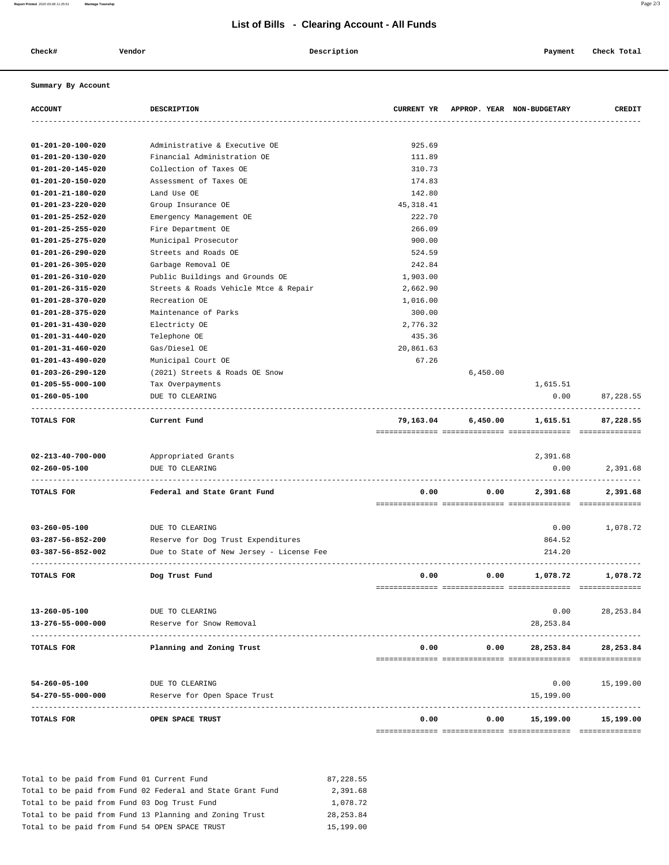## **List of Bills - Clearing Account - All Funds**

 **Check# Vendor Description Payment Check Total**

## **Summary By Account**

| <b>ACCOUNT</b>                                       | <b>DESCRIPTION</b>                       |            |          | CURRENT YR APPROP. YEAR NON-BUDGETARY    | CREDIT     |
|------------------------------------------------------|------------------------------------------|------------|----------|------------------------------------------|------------|
|                                                      |                                          |            |          |                                          |            |
| 01-201-20-100-020                                    | Administrative & Executive OE            | 925.69     |          |                                          |            |
| $01 - 201 - 20 - 130 - 020$                          | Financial Administration OE              | 111.89     |          |                                          |            |
| $01 - 201 - 20 - 145 - 020$                          | Collection of Taxes OE                   | 310.73     |          |                                          |            |
| 01-201-20-150-020                                    | Assessment of Taxes OE                   | 174.83     |          |                                          |            |
| 01-201-21-180-020                                    | Land Use OE                              | 142.80     |          |                                          |            |
| $01 - 201 - 23 - 220 - 020$                          | Group Insurance OE                       | 45, 318.41 |          |                                          |            |
| 01-201-25-252-020                                    | Emergency Management OE                  | 222.70     |          |                                          |            |
| 01-201-25-255-020                                    | Fire Department OE                       | 266.09     |          |                                          |            |
| 01-201-25-275-020                                    | Municipal Prosecutor                     | 900.00     |          |                                          |            |
| $01 - 201 - 26 - 290 - 020$                          | Streets and Roads OE                     | 524.59     |          |                                          |            |
| 01-201-26-305-020                                    | Garbage Removal OE                       | 242.84     |          |                                          |            |
| $01 - 201 - 26 - 310 - 020$                          | Public Buildings and Grounds OE          | 1,903.00   |          |                                          |            |
| $01 - 201 - 26 - 315 - 020$                          | Streets & Roads Vehicle Mtce & Repair    | 2,662.90   |          |                                          |            |
| $01 - 201 - 28 - 370 - 020$                          | Recreation OE                            | 1,016.00   |          |                                          |            |
| 01-201-28-375-020                                    | Maintenance of Parks                     | 300.00     |          |                                          |            |
| $01 - 201 - 31 - 430 - 020$                          | Electricty OE                            | 2,776.32   |          |                                          |            |
| $01 - 201 - 31 - 440 - 020$                          | Telephone OE                             | 435.36     |          |                                          |            |
| $01 - 201 - 31 - 460 - 020$                          | Gas/Diesel OE                            | 20,861.63  |          |                                          |            |
| $01 - 201 - 43 - 490 - 020$                          | Municipal Court OE                       | 67.26      |          |                                          |            |
| $01 - 203 - 26 - 290 - 120$                          | (2021) Streets & Roads OE Snow           |            | 6,450.00 |                                          |            |
| $01 - 205 - 55 - 000 - 100$                          | Tax Overpayments                         |            |          | 1,615.51                                 |            |
| $01 - 260 - 05 - 100$<br>--------------------------- | DUE TO CLEARING                          |            |          | 0.00<br>-------------------------------- | 87,228.55  |
| TOTALS FOR                                           | Current Fund                             | 79,163.04  | 6,450.00 | 1,615.51                                 | 87,228.55  |
|                                                      |                                          |            |          |                                          |            |
| $02 - 213 - 40 - 700 - 000$                          | Appropriated Grants                      |            |          | 2,391.68                                 |            |
| $02 - 260 - 05 - 100$                                | DUE TO CLEARING                          |            |          | 0.00                                     | 2,391.68   |
| TOTALS FOR                                           | Federal and State Grant Fund             | 0.00       | 0.00     | 2,391.68                                 | 2,391.68   |
| $03 - 260 - 05 - 100$                                | DUE TO CLEARING                          |            |          | 0.00                                     | 1,078.72   |
| 03-287-56-852-200                                    | Reserve for Dog Trust Expenditures       |            |          | 864.52                                   |            |
| 03-387-56-852-002                                    | Due to State of New Jersey - License Fee |            |          | 214.20                                   |            |
|                                                      |                                          |            |          |                                          |            |
| TOTALS FOR                                           | Dog Trust Fund                           | 0.00       | 0.00     | 1,078.72                                 | 1,078.72   |
|                                                      |                                          |            |          |                                          |            |
| $13 - 260 - 05 - 100$                                | DUE TO CLEARING                          |            |          | 0.00                                     | 28, 253.84 |
| 13-276-55-000-000                                    | Reserve for Snow Removal                 |            |          | 28, 253.84                               |            |
| TOTALS FOR                                           | Planning and Zoning Trust                | 0.00       |          | 0.00 28,253.84                           | 28,253.84  |
|                                                      |                                          |            |          |                                          |            |
| $54 - 260 - 05 - 100$                                | DUE TO CLEARING                          |            |          | 0.00                                     | 15,199.00  |
| 54-270-55-000-000                                    | Reserve for Open Space Trust             |            |          | 15,199.00                                |            |
| TOTALS FOR                                           | OPEN SPACE TRUST                         | 0.00       | 0.00     | 15,199.00                                | 15,199.00  |
|                                                      |                                          |            |          |                                          |            |

|  |  |  |  | Total to be paid from Fund 01 Current Fund                 | 87, 228, 55 |
|--|--|--|--|------------------------------------------------------------|-------------|
|  |  |  |  | Total to be paid from Fund 02 Federal and State Grant Fund | 2,391.68    |
|  |  |  |  | Total to be paid from Fund 03 Dog Trust Fund               | 1,078.72    |
|  |  |  |  | Total to be paid from Fund 13 Planning and Zoning Trust    | 28, 253, 84 |
|  |  |  |  | Total to be paid from Fund 54 OPEN SPACE TRUST             | 15,199.00   |